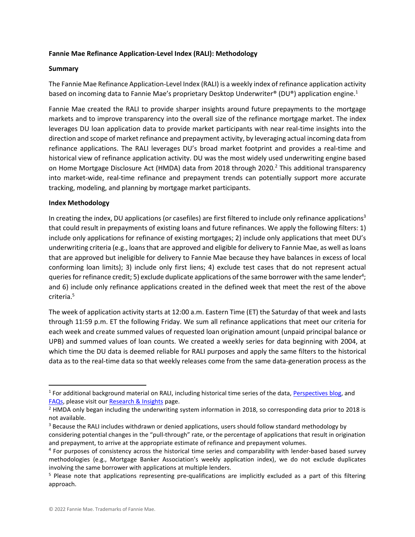## **Fannie Mae Refinance Application-Level Index (RALI): Methodology**

## **Summary**

The Fannie Mae Refinance Application-Level Index (RALI) is a weekly index of refinance application activity based on incoming data to Fannie Mae's proprietary Desktop Underwriter® (DU®) application engine.<sup>1</sup>

Fannie Mae created the RALI to provide sharper insights around future prepayments to the mortgage markets and to improve transparency into the overall size of the refinance mortgage market. The index leverages DU loan application data to provide market participants with near real-time insights into the direction and scope of market refinance and prepayment activity, by leveraging actual incoming data from refinance applications. The RALI leverages DU's broad market footprint and provides a real-time and historical view of refinance application activity. DU was the most widely used underwriting engine based on Home Mortgage Disclosure Act (HMDA) data from 2018 through 2020.<sup>2</sup> This additional transparency into market-wide, real-time refinance and prepayment trends can potentially support more accurate tracking, modeling, and planning by mortgage market participants.

## **Index Methodology**

In creating the index, DU applications (or casefiles) are first filtered to include only refinance applications<sup>3</sup> that could result in prepayments of existing loans and future refinances. We apply the following filters: 1) include only applications for refinance of existing mortgages; 2) include only applications that meet DU's underwriting criteria (e.g., loans that are approved and eligible for delivery to Fannie Mae, as well as loans that are approved but ineligible for delivery to Fannie Mae because they have balances in excess of local conforming loan limits); 3) include only first liens; 4) exclude test cases that do not represent actual queries for refinance credit; 5) exclude duplicate applications of the same borrower with the same lender<sup>4</sup>; and 6) include only refinance applications created in the defined week that meet the rest of the above criteria.<sup>5</sup>

The week of application activity starts at 12:00 a.m. Eastern Time (ET) the Saturday of that week and lasts through 11:59 p.m. ET the following Friday. We sum all refinance applications that meet our criteria for each week and create summed values of requested loan origination amount (unpaid principal balance or UPB) and summed values of loan counts. We created a weekly series for data beginning with 2004, at which time the DU data is deemed reliable for RALI purposes and apply the same filters to the historical data as to the real-time data so that weekly releases come from the same data-generation process as the

<sup>&</sup>lt;sup>1</sup> For additional background material on RALI, including historical time series of the data, *Perspectives blog*, and [FAQs,](https://www.fanniemae.com/media/document/pdf/fannie-mae-rali-faqs.pdf) please visit our [Research & Insights](https://www.fanniemae.com/research-and-insights/surveys-indices/refinance-application-level-index) page.

<sup>&</sup>lt;sup>2</sup> HMDA only began including the underwriting system information in 2018, so corresponding data prior to 2018 is not available.

<sup>&</sup>lt;sup>3</sup> Because the RALI includes withdrawn or denied applications, users should follow standard methodology by considering potential changes in the "pull-through" rate, or the percentage of applications that result in origination and prepayment, to arrive at the appropriate estimate of refinance and prepayment volumes.

<sup>&</sup>lt;sup>4</sup> For purposes of consistency across the historical time series and comparability with lender-based based survey methodologies (e.g., Mortgage Banker Association's weekly application index), we do not exclude duplicates involving the same borrower with applications at multiple lenders.

<sup>&</sup>lt;sup>5</sup> Please note that applications representing pre-qualifications are implicitly excluded as a part of this filtering approach.